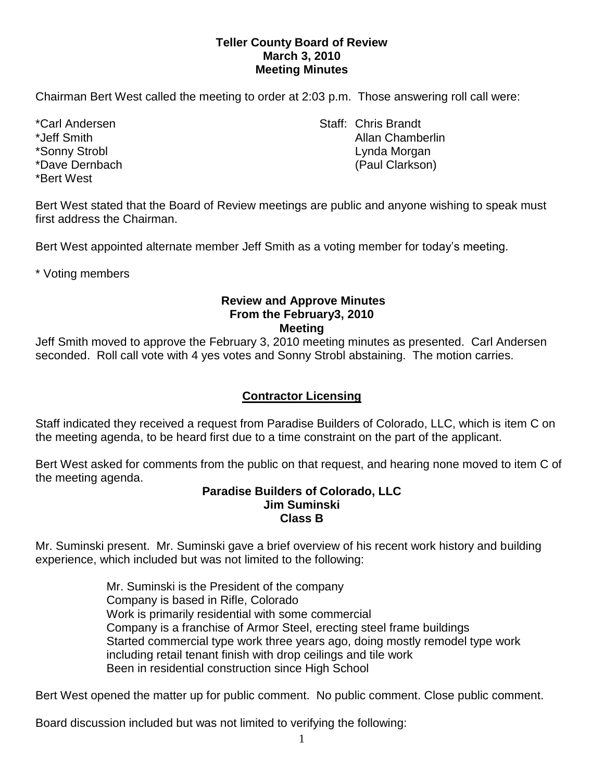### **Teller County Board of Review March 3, 2010 Meeting Minutes**

Chairman Bert West called the meeting to order at 2:03 p.m. Those answering roll call were:

\*Bert West

\*Carl Andersen North Staff: Chris Brandt \*Jeff Smith Allan Chamberlin \*Sonny Strobl Lynda Morgan \*Dave Dernbach (Paul Clarkson)

Bert West stated that the Board of Review meetings are public and anyone wishing to speak must first address the Chairman.

Bert West appointed alternate member Jeff Smith as a voting member for today's meeting.

\* Voting members

#### **Review and Approve Minutes From the February3, 2010 Meeting**

Jeff Smith moved to approve the February 3, 2010 meeting minutes as presented. Carl Andersen seconded. Roll call vote with 4 yes votes and Sonny Strobl abstaining. The motion carries.

# **Contractor Licensing**

Staff indicated they received a request from Paradise Builders of Colorado, LLC, which is item C on the meeting agenda, to be heard first due to a time constraint on the part of the applicant.

Bert West asked for comments from the public on that request, and hearing none moved to item C of the meeting agenda.

#### **Paradise Builders of Colorado, LLC Jim Suminski Class B**

Mr. Suminski present. Mr. Suminski gave a brief overview of his recent work history and building experience, which included but was not limited to the following:

> Mr. Suminski is the President of the company Company is based in Rifle, Colorado Work is primarily residential with some commercial Company is a franchise of Armor Steel, erecting steel frame buildings Started commercial type work three years ago, doing mostly remodel type work including retail tenant finish with drop ceilings and tile work Been in residential construction since High School

Bert West opened the matter up for public comment. No public comment. Close public comment.

Board discussion included but was not limited to verifying the following: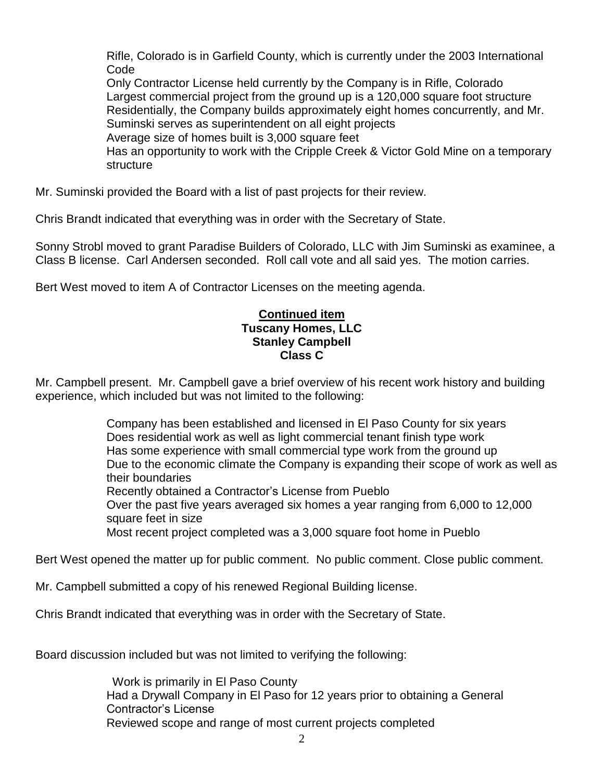Rifle, Colorado is in Garfield County, which is currently under the 2003 International Code

Only Contractor License held currently by the Company is in Rifle, Colorado Largest commercial project from the ground up is a 120,000 square foot structure Residentially, the Company builds approximately eight homes concurrently, and Mr. Suminski serves as superintendent on all eight projects Average size of homes built is 3,000 square feet

Has an opportunity to work with the Cripple Creek & Victor Gold Mine on a temporary **structure** 

Mr. Suminski provided the Board with a list of past projects for their review.

Chris Brandt indicated that everything was in order with the Secretary of State.

Sonny Strobl moved to grant Paradise Builders of Colorado, LLC with Jim Suminski as examinee, a Class B license. Carl Andersen seconded. Roll call vote and all said yes. The motion carries.

Bert West moved to item A of Contractor Licenses on the meeting agenda.

### **Continued item Tuscany Homes, LLC Stanley Campbell Class C**

Mr. Campbell present. Mr. Campbell gave a brief overview of his recent work history and building experience, which included but was not limited to the following:

> Company has been established and licensed in El Paso County for six years Does residential work as well as light commercial tenant finish type work Has some experience with small commercial type work from the ground up Due to the economic climate the Company is expanding their scope of work as well as their boundaries Recently obtained a Contractor's License from Pueblo Over the past five years averaged six homes a year ranging from 6,000 to 12,000 square feet in size

Most recent project completed was a 3,000 square foot home in Pueblo

Bert West opened the matter up for public comment. No public comment. Close public comment.

Mr. Campbell submitted a copy of his renewed Regional Building license.

Chris Brandt indicated that everything was in order with the Secretary of State.

Board discussion included but was not limited to verifying the following:

Work is primarily in El Paso County Had a Drywall Company in El Paso for 12 years prior to obtaining a General Contractor's License Reviewed scope and range of most current projects completed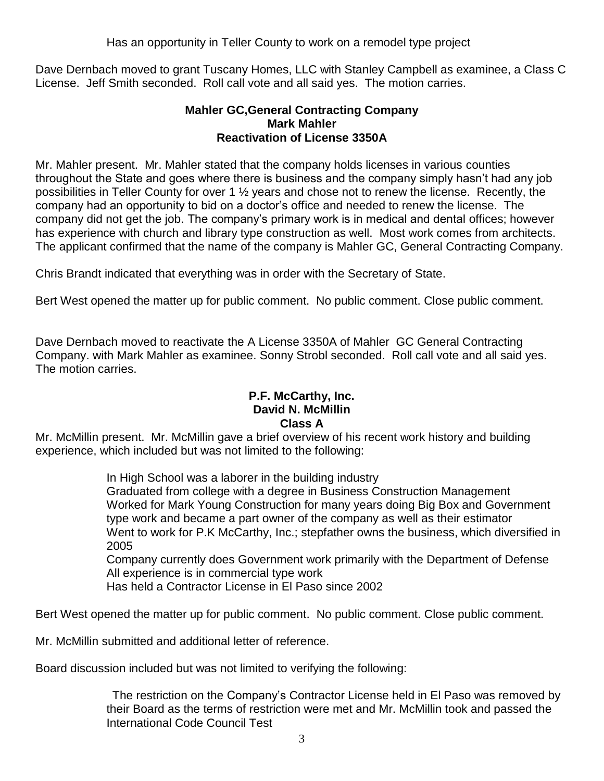Has an opportunity in Teller County to work on a remodel type project

Dave Dernbach moved to grant Tuscany Homes, LLC with Stanley Campbell as examinee, a Class C License. Jeff Smith seconded. Roll call vote and all said yes. The motion carries.

## **Mahler GC,General Contracting Company Mark Mahler Reactivation of License 3350A**

Mr. Mahler present. Mr. Mahler stated that the company holds licenses in various counties throughout the State and goes where there is business and the company simply hasn't had any job possibilities in Teller County for over 1 ½ years and chose not to renew the license. Recently, the company had an opportunity to bid on a doctor's office and needed to renew the license. The company did not get the job. The company's primary work is in medical and dental offices; however has experience with church and library type construction as well. Most work comes from architects. The applicant confirmed that the name of the company is Mahler GC, General Contracting Company.

Chris Brandt indicated that everything was in order with the Secretary of State.

Bert West opened the matter up for public comment. No public comment. Close public comment.

Dave Dernbach moved to reactivate the A License 3350A of Mahler GC General Contracting Company. with Mark Mahler as examinee. Sonny Strobl seconded. Roll call vote and all said yes. The motion carries.

### **P.F. McCarthy, Inc. David N. McMillin Class A**

Mr. McMillin present. Mr. McMillin gave a brief overview of his recent work history and building experience, which included but was not limited to the following:

In High School was a laborer in the building industry

Graduated from college with a degree in Business Construction Management Worked for Mark Young Construction for many years doing Big Box and Government type work and became a part owner of the company as well as their estimator Went to work for P.K McCarthy, Inc.; stepfather owns the business, which diversified in 2005

Company currently does Government work primarily with the Department of Defense All experience is in commercial type work

Has held a Contractor License in El Paso since 2002

Bert West opened the matter up for public comment. No public comment. Close public comment.

Mr. McMillin submitted and additional letter of reference.

Board discussion included but was not limited to verifying the following:

The restriction on the Company's Contractor License held in El Paso was removed by their Board as the terms of restriction were met and Mr. McMillin took and passed the International Code Council Test